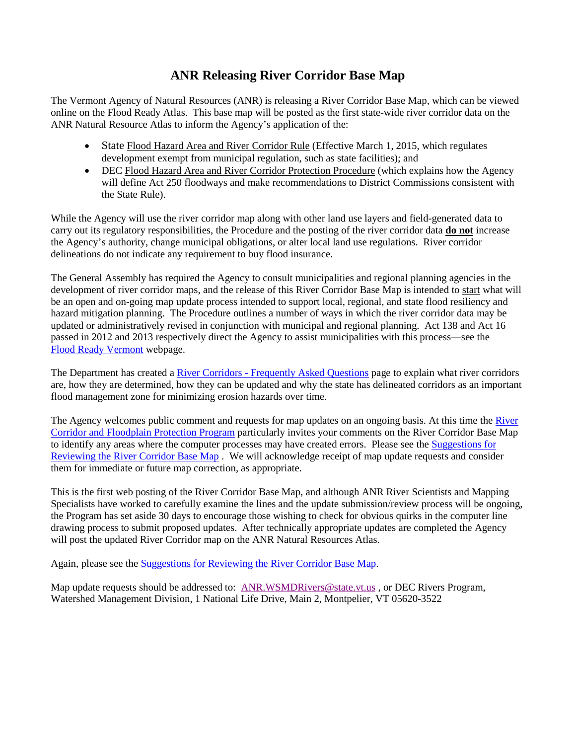## **ANR Releasing River Corridor Base Map**

The Vermont Agency of Natural Resources (ANR) is releasing a River Corridor Base Map, which can be viewed online on the Flood Ready Atlas. This base map will be posted as the first state-wide river corridor data on the ANR Natural Resource Atlas to inform the Agency's application of the:

- State Flood Hazard Area and River Corridor Rule (Effective March 1, 2015, which regulates development exempt from municipal regulation, such as state facilities); and
- DEC Flood Hazard Area and River Corridor Protection Procedure (which explains how the Agency will define Act 250 floodways and make recommendations to District Commissions consistent with the State Rule).

While the Agency will use the river corridor map along with other land use layers and field-generated data to carry out its regulatory responsibilities, the Procedure and the posting of the river corridor data **do not** increase the Agency's authority, change municipal obligations, or alter local land use regulations. River corridor delineations do not indicate any requirement to buy flood insurance.

The General Assembly has required the Agency to consult municipalities and regional planning agencies in the development of river corridor maps, and the release of this River Corridor Base Map is intended to start what will be an open and on-going map update process intended to support local, regional, and state flood resiliency and hazard mitigation planning. The Procedure outlines a number of ways in which the river corridor data may be updated or administratively revised in conjunction with municipal and regional planning. Act 138 and Act 16 passed in 2012 and 2013 respectively direct the Agency to assist municipalities with this process—see the [Flood Ready Vermont](http://www.floodready.vermont.gov/) webpage.

The Department has created a River Corridors - [Frequently Asked Questions](http://floodready.vermont.gov/RCFAQ) page to explain what river corridors are, how they are determined, how they can be updated and why the state has delineated corridors as an important flood management zone for minimizing erosion hazards over time.

The Agency welcomes public comment and requests for map updates on an ongoing basis. At this time the River [Corridor and Floodplain Protection Program](http://www.watershedmanagement.vt.gov/rivers.htm) particularly invites your comments on the River Corridor Base Map to identify any areas where the computer processes may have created errors. Please see th[e Suggestions for](https://dl.dropboxusercontent.com/u/109177597/Reviewing.pdf)  [Reviewing the River Corridor Base Map](https://dl.dropboxusercontent.com/u/109177597/Reviewing.pdf) . We will acknowledge receipt of map update requests and consider them for immediate or future map correction, as appropriate.

This is the first web posting of the River Corridor Base Map, and although ANR River Scientists and Mapping Specialists have worked to carefully examine the lines and the update submission/review process will be ongoing, the Program has set aside 30 days to encourage those wishing to check for obvious quirks in the computer line drawing process to submit proposed updates. After technically appropriate updates are completed the Agency will post the updated River Corridor map on the ANR Natural Resources Atlas.

Again, please see th[e Suggestions for Reviewing the River Corridor Base Map.](https://dl.dropboxusercontent.com/u/109177597/Reviewing.pdf)

Map update requests should be addressed to: [ANR.WSMDRivers@state.vt.us](mailto:ANR.WSMDRivers@state.vt.us?subject=Regarding%20the%20River%20Corridor%20Base%20Map), or DEC Rivers Program, Watershed Management Division, 1 National Life Drive, Main 2, Montpelier, VT 05620-3522